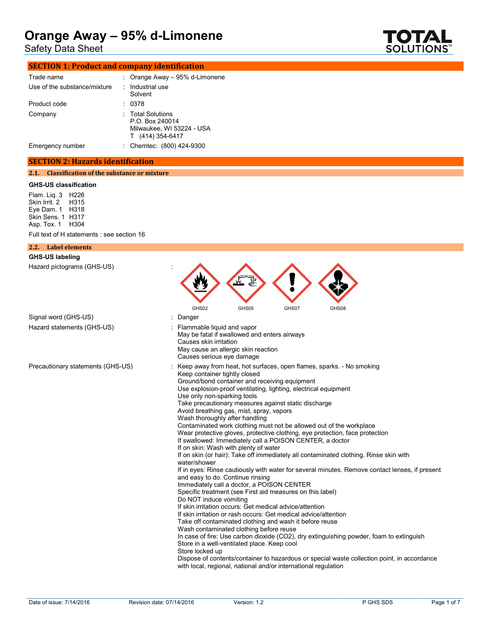Safety Data Sheet



# **SECTION 1: Product and company identification**

| Trade name                   | : Orange Away $-95%$ d-Limonene                                                       |
|------------------------------|---------------------------------------------------------------------------------------|
| Use of the substance/mixture | Industrial use<br>Solvent                                                             |
| Product code                 | 0378                                                                                  |
| Company                      | : Total Solutions<br>P.O. Box 240014<br>Milwaukee, WI 53224 - USA<br>T (414) 354-6417 |
| Emergency number             | Chemtec: (800) 424-9300                                                               |

### **SECTION 2: Hazards identification**

### **2.1. Classification of the substance or mixture**

### **GHS-US classification**

Flam. Liq. 3 H226 Skin Irrit. 2 H315 Eye Dam. 1 H318 Skin Sens. 1 H317 Asp. Tox. 1 H304

Full text of H statements : see section 16

| 2.2. Label elements               |                                                                                                                                                                                                                                                                                                                                                                                                                                                                                                                                                                                                                                                                                                                                                                                                                                                                                                                                                                                                                                                                                                                                                                                                                                                                                                                                                                                                                                                                                                                                                                                                                  |
|-----------------------------------|------------------------------------------------------------------------------------------------------------------------------------------------------------------------------------------------------------------------------------------------------------------------------------------------------------------------------------------------------------------------------------------------------------------------------------------------------------------------------------------------------------------------------------------------------------------------------------------------------------------------------------------------------------------------------------------------------------------------------------------------------------------------------------------------------------------------------------------------------------------------------------------------------------------------------------------------------------------------------------------------------------------------------------------------------------------------------------------------------------------------------------------------------------------------------------------------------------------------------------------------------------------------------------------------------------------------------------------------------------------------------------------------------------------------------------------------------------------------------------------------------------------------------------------------------------------------------------------------------------------|
| <b>GHS-US labeling</b>            |                                                                                                                                                                                                                                                                                                                                                                                                                                                                                                                                                                                                                                                                                                                                                                                                                                                                                                                                                                                                                                                                                                                                                                                                                                                                                                                                                                                                                                                                                                                                                                                                                  |
| Hazard pictograms (GHS-US)        | GHS02<br>GHS05<br>GHS07<br>GHS08                                                                                                                                                                                                                                                                                                                                                                                                                                                                                                                                                                                                                                                                                                                                                                                                                                                                                                                                                                                                                                                                                                                                                                                                                                                                                                                                                                                                                                                                                                                                                                                 |
| Signal word (GHS-US)              | Danger                                                                                                                                                                                                                                                                                                                                                                                                                                                                                                                                                                                                                                                                                                                                                                                                                                                                                                                                                                                                                                                                                                                                                                                                                                                                                                                                                                                                                                                                                                                                                                                                           |
| Hazard statements (GHS-US)        | Flammable liquid and vapor<br>May be fatal if swallowed and enters airways<br>Causes skin irritation<br>May cause an allergic skin reaction<br>Causes serious eye damage                                                                                                                                                                                                                                                                                                                                                                                                                                                                                                                                                                                                                                                                                                                                                                                                                                                                                                                                                                                                                                                                                                                                                                                                                                                                                                                                                                                                                                         |
| Precautionary statements (GHS-US) | Keep away from heat, hot surfaces, open flames, sparks. - No smoking<br>Keep container tightly closed<br>Ground/bond container and receiving equipment<br>Use explosion-proof ventilating, lighting, electrical equipment<br>Use only non-sparking tools<br>Take precautionary measures against static discharge<br>Avoid breathing gas, mist, spray, vapors<br>Wash thoroughly after handling<br>Contaminated work clothing must not be allowed out of the workplace<br>Wear protective gloves, protective clothing, eye protection, face protection<br>If swallowed: Immediately call a POISON CENTER, a doctor<br>If on skin: Wash with plenty of water<br>If on skin (or hair): Take off immediately all contaminated clothing. Rinse skin with<br>water/shower<br>If in eyes: Rinse cautiously with water for several minutes. Remove contact lenses, if present<br>and easy to do. Continue rinsing<br>Immediately call a doctor, a POISON CENTER<br>Specific treatment (see First aid measures on this label)<br>Do NOT induce vomiting<br>If skin irritation occurs: Get medical advice/attention<br>If skin irritation or rash occurs: Get medical advice/attention<br>Take off contaminated clothing and wash it before reuse<br>Wash contaminated clothing before reuse<br>In case of fire: Use carbon dioxide (CO2), dry extinguishing powder, foam to extinguish<br>Store in a well-ventilated place. Keep cool<br>Store locked up<br>Dispose of contents/container to hazardous or special waste collection point, in accordance<br>with local, regional, national and/or international regulation |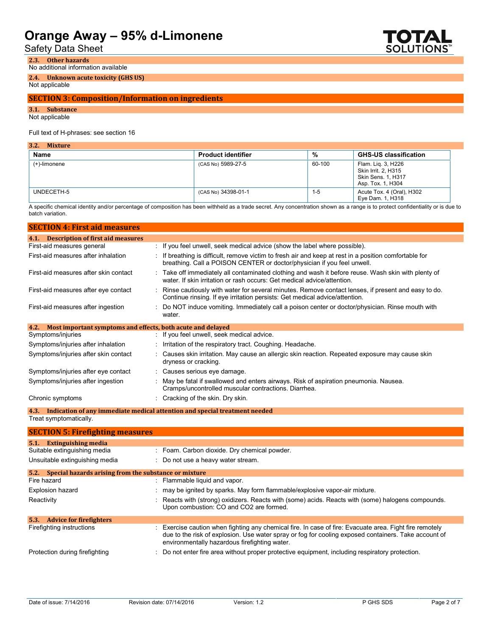Safety Data Sheet

ГОТИ SOLUTIONS

**2.3. Other hazards** No additional information available

**2.4. Unknown acute toxicity (GHS US)**

### Not applicable

## **SECTION 3: Composition/Information on ingredients**

**3.1. Substance**

Not applicable

### Full text of H-phrases: see section 16

| 3.2.<br><b>Mixture</b> |                           |         |                                                                                             |
|------------------------|---------------------------|---------|---------------------------------------------------------------------------------------------|
| Name                   | <b>Product identifier</b> | %       | <b>GHS-US classification</b>                                                                |
| (+)-limonene           | (CAS No) 5989-27-5        | 60-100  | Flam. Lig. 3, H226<br>Skin Irrit. 2, H315<br><b>Skin Sens. 1, H317</b><br>Asp. Tox. 1, H304 |
| UNDECETH-5             | (CAS No) 34398-01-1       | $1 - 5$ | Acute Tox. 4 (Oral), H302<br>Eye Dam. 1, H318                                               |

A specific chemical identity and/or percentage of composition has been withheld as a trade secret. Any concentration shown as a range is to protect confidentiality or is due to batch variation.

| <b>SECTION 4: First aid measures</b>                                |                                                                                                                                                                                   |
|---------------------------------------------------------------------|-----------------------------------------------------------------------------------------------------------------------------------------------------------------------------------|
| <b>Description of first aid measures</b><br>4.1.                    |                                                                                                                                                                                   |
| First-aid measures general                                          | : If you feel unwell, seek medical advice (show the label where possible).                                                                                                        |
| First-aid measures after inhalation                                 | : If breathing is difficult, remove victim to fresh air and keep at rest in a position comfortable for<br>breathing. Call a POISON CENTER or doctor/physician if you feel unwell. |
| First-aid measures after skin contact                               | Take off immediately all contaminated clothing and wash it before reuse. Wash skin with plenty of<br>water. If skin irritation or rash occurs: Get medical advice/attention.      |
| First-aid measures after eye contact                                | Rinse cautiously with water for several minutes. Remove contact lenses, if present and easy to do.<br>Continue rinsing. If eye irritation persists: Get medical advice/attention. |
| First-aid measures after ingestion                                  | Do NOT induce vomiting. Immediately call a poison center or doctor/physician. Rinse mouth with<br>water.                                                                          |
| Most important symptoms and effects, both acute and delayed<br>4.2. |                                                                                                                                                                                   |
| Symptoms/injuries                                                   | : If you feel unwell, seek medical advice.                                                                                                                                        |
| Symptoms/injuries after inhalation                                  | : Irritation of the respiratory tract. Coughing. Headache.                                                                                                                        |
| Symptoms/injuries after skin contact                                | Causes skin irritation. May cause an allergic skin reaction. Repeated exposure may cause skin<br>dryness or cracking.                                                             |
| Symptoms/injuries after eye contact                                 | : Causes serious eye damage.                                                                                                                                                      |
| Symptoms/injuries after ingestion                                   | May be fatal if swallowed and enters airways. Risk of aspiration pneumonia. Nausea.<br>Cramps/uncontrolled muscular contractions. Diarrhea.                                       |
| Chronic symptoms                                                    | : Cracking of the skin. Dry skin.                                                                                                                                                 |
| 4.3.                                                                | Indication of any immediate medical attention and special treatment needed                                                                                                        |
| Treat symptomatically.                                              |                                                                                                                                                                                   |
| <b>SECTION 5: Firefighting measures</b>                             |                                                                                                                                                                                   |
| <b>Extinguishing media</b><br>5.1.                                  |                                                                                                                                                                                   |
| Suitable extinguishing media                                        | : Foam. Carbon dioxide. Dry chemical powder.                                                                                                                                      |
| Unsuitable extinguishing media                                      | Do not use a heavy water stream.                                                                                                                                                  |

| 5.2. Special hazards arising from the substance or mixture |                                                                                                                                                                                                                                                                  |
|------------------------------------------------------------|------------------------------------------------------------------------------------------------------------------------------------------------------------------------------------------------------------------------------------------------------------------|
| Fire hazard                                                | : Flammable liquid and vapor.                                                                                                                                                                                                                                    |
| <b>Explosion hazard</b>                                    | : may be ignited by sparks. May form flammable/explosive vapor-air mixture.                                                                                                                                                                                      |
| Reactivity                                                 | : Reacts with (strong) oxidizers. Reacts with (some) acids. Reacts with (some) halogens compounds.<br>Upon combustion: CO and CO2 are formed.                                                                                                                    |
| 5.3.<br><b>Advice for firefighters</b>                     |                                                                                                                                                                                                                                                                  |
| Firefighting instructions                                  | : Exercise caution when fighting any chemical fire. In case of fire: Evacuate area. Fight fire remotely<br>due to the risk of explosion. Use water spray or fog for cooling exposed containers. Take account of<br>environmentally hazardous firefighting water. |
| Protection during firefighting                             | : Do not enter fire area without proper protective equipment, including respiratory protection.                                                                                                                                                                  |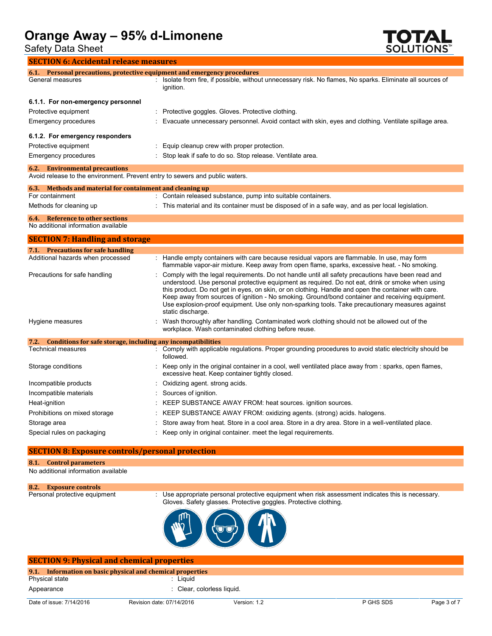Safety Data Sheet



| <b>SECTION 6: Accidental release measures</b>                                                                            |                                                                                                                                                                                                                                                                                                                                                                                                                                                                                                                                         |
|--------------------------------------------------------------------------------------------------------------------------|-----------------------------------------------------------------------------------------------------------------------------------------------------------------------------------------------------------------------------------------------------------------------------------------------------------------------------------------------------------------------------------------------------------------------------------------------------------------------------------------------------------------------------------------|
|                                                                                                                          | 6.1. Personal precautions, protective equipment and emergency procedures                                                                                                                                                                                                                                                                                                                                                                                                                                                                |
| General measures                                                                                                         | : Isolate from fire, if possible, without unnecessary risk. No flames, No sparks. Eliminate all sources of<br>ignition.                                                                                                                                                                                                                                                                                                                                                                                                                 |
| 6.1.1. For non-emergency personnel                                                                                       |                                                                                                                                                                                                                                                                                                                                                                                                                                                                                                                                         |
| Protective equipment                                                                                                     | Protective goggles. Gloves. Protective clothing.                                                                                                                                                                                                                                                                                                                                                                                                                                                                                        |
| Emergency procedures                                                                                                     | Evacuate unnecessary personnel. Avoid contact with skin, eyes and clothing. Ventilate spillage area.                                                                                                                                                                                                                                                                                                                                                                                                                                    |
| 6.1.2. For emergency responders                                                                                          |                                                                                                                                                                                                                                                                                                                                                                                                                                                                                                                                         |
| Protective equipment                                                                                                     | Equip cleanup crew with proper protection.                                                                                                                                                                                                                                                                                                                                                                                                                                                                                              |
| Emergency procedures                                                                                                     | Stop leak if safe to do so. Stop release. Ventilate area.                                                                                                                                                                                                                                                                                                                                                                                                                                                                               |
| <b>Environmental precautions</b><br>6.2.<br>Avoid release to the environment. Prevent entry to sewers and public waters. |                                                                                                                                                                                                                                                                                                                                                                                                                                                                                                                                         |
| Methods and material for containment and cleaning up<br>6.3.                                                             |                                                                                                                                                                                                                                                                                                                                                                                                                                                                                                                                         |
| For containment                                                                                                          | : Contain released substance, pump into suitable containers.                                                                                                                                                                                                                                                                                                                                                                                                                                                                            |
| Methods for cleaning up                                                                                                  | This material and its container must be disposed of in a safe way, and as per local legislation.                                                                                                                                                                                                                                                                                                                                                                                                                                        |
| <b>Reference to other sections</b><br>6.4.<br>No additional information available                                        |                                                                                                                                                                                                                                                                                                                                                                                                                                                                                                                                         |
| <b>SECTION 7: Handling and storage</b>                                                                                   |                                                                                                                                                                                                                                                                                                                                                                                                                                                                                                                                         |
| 7.1. Precautions for safe handling                                                                                       |                                                                                                                                                                                                                                                                                                                                                                                                                                                                                                                                         |
| Additional hazards when processed                                                                                        | : Handle empty containers with care because residual vapors are flammable. In use, may form<br>flammable vapor-air mixture. Keep away from open flame, sparks, excessive heat. - No smoking.                                                                                                                                                                                                                                                                                                                                            |
| Precautions for safe handling                                                                                            | Comply with the legal requirements. Do not handle until all safety precautions have been read and<br>understood. Use personal protective equipment as required. Do not eat, drink or smoke when using<br>this product. Do not get in eyes, on skin, or on clothing. Handle and open the container with care.<br>Keep away from sources of ignition - No smoking. Ground/bond container and receiving equipment.<br>Use explosion-proof equipment. Use only non-sparking tools. Take precautionary measures against<br>static discharge. |
| Hygiene measures                                                                                                         | Wash thoroughly after handling. Contaminated work clothing should not be allowed out of the<br>workplace. Wash contaminated clothing before reuse.                                                                                                                                                                                                                                                                                                                                                                                      |
| 7.2. Conditions for safe storage, including any incompatibilities                                                        |                                                                                                                                                                                                                                                                                                                                                                                                                                                                                                                                         |
| Technical measures                                                                                                       | : Comply with applicable regulations. Proper grounding procedures to avoid static electricity should be<br>followed.                                                                                                                                                                                                                                                                                                                                                                                                                    |
| Storage conditions                                                                                                       | Keep only in the original container in a cool, well ventilated place away from : sparks, open flames,<br>excessive heat. Keep container tightly closed.                                                                                                                                                                                                                                                                                                                                                                                 |
| Incompatible products                                                                                                    | Oxidizing agent. strong acids.                                                                                                                                                                                                                                                                                                                                                                                                                                                                                                          |
| Incompatible materials                                                                                                   | Sources of ignition.                                                                                                                                                                                                                                                                                                                                                                                                                                                                                                                    |
| Heat-ignition                                                                                                            | KEEP SUBSTANCE AWAY FROM: heat sources. ignition sources.                                                                                                                                                                                                                                                                                                                                                                                                                                                                               |
| Prohibitions on mixed storage                                                                                            | KEEP SUBSTANCE AWAY FROM: oxidizing agents. (strong) acids. halogens.                                                                                                                                                                                                                                                                                                                                                                                                                                                                   |
| Storage area                                                                                                             | Store away from heat. Store in a cool area. Store in a dry area. Store in a well-ventilated place.                                                                                                                                                                                                                                                                                                                                                                                                                                      |
| Special rules on packaging                                                                                               | Keep only in original container, meet the legal requirements.                                                                                                                                                                                                                                                                                                                                                                                                                                                                           |

## **SECTION 8: Exposure controls/personal protection**

## **8.1. Control parameters**

No additional information available

**8.2. Exposure controls** Personal protective equipment  $\;\;$  Use appropriate personal protective equipment when risk assessment indicates this is necessary. Gloves. Safety glasses. Protective goggles. Protective clothing.



| <b>SECTION 9: Physical and chemical properties</b>         |                            |              |           |             |
|------------------------------------------------------------|----------------------------|--------------|-----------|-------------|
| 9.1. Information on basic physical and chemical properties |                            |              |           |             |
| Physical state                                             | : Liauid                   |              |           |             |
| Appearance                                                 | : Clear, colorless liquid. |              |           |             |
| Date of issue: 7/14/2016                                   | Revision date: 07/14/2016  | Version: 1.2 | P GHS SDS | Page 3 of 7 |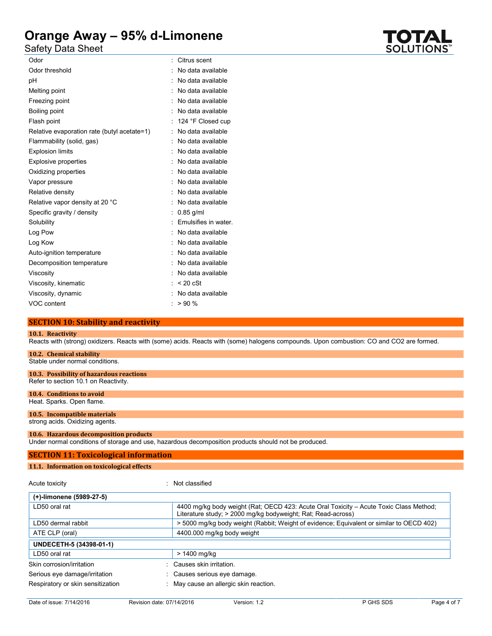Safety Data Sheet

| Odor                                        | Citrus scent         |
|---------------------------------------------|----------------------|
| Odor threshold                              | No data available    |
| рH                                          | No data available    |
| Melting point                               | : No data available  |
| Freezing point                              | : No data available  |
| Boiling point                               | No data available    |
| Flash point                                 | 124 °F Closed cup    |
| Relative evaporation rate (butyl acetate=1) | No data available    |
| Flammability (solid, gas)                   | No data available    |
| <b>Explosion limits</b>                     | No data available    |
| <b>Explosive properties</b>                 | No data available    |
| Oxidizing properties                        | No data available    |
| Vapor pressure                              | No data available    |
| Relative density                            | No data available    |
| Relative vapor density at 20 °C             | No data available    |
| Specific gravity / density                  | $0.85$ g/ml          |
| Solubility                                  | Emulsifies in water. |
| Log Pow                                     | No data available    |
| Log Kow                                     | No data available    |
| Auto-ignition temperature                   | No data available    |
| Decomposition temperature                   | No data available    |
| Viscosity                                   | No data available    |
| Viscosity, kinematic                        | $< 20$ cSt           |
| Viscosity, dynamic                          | No data available    |
| VOC content                                 | >90%                 |
|                                             |                      |

# **SECTION 10: Stability and reactivity**

### **10.1. Reactivity**

Reacts with (strong) oxidizers. Reacts with (some) acids. Reacts with (some) halogens compounds. Upon combustion: CO and CO2 are formed.

## **10.2. Chemical stability**

Stable under normal conditions.

# **10.3. Possibility of hazardous reactions**

Refer to section 10.1 on Reactivity.

#### **10.4. Conditions to avoid** Heat. Sparks. Open flame.

# **10.5. Incompatible materials**

strong acids. Oxidizing agents.

#### **10.6. Hazardous decomposition products**

Under normal conditions of storage and use, hazardous decomposition products should not be produced.

## **SECTION 11: Toxicological information**

### **11.1. Information on toxicological effects**

#### Acute toxicity in the contract of the classified in the Not classified

| (+)-limonene (5989-27-5)          |                                                                                                                                                        |  |
|-----------------------------------|--------------------------------------------------------------------------------------------------------------------------------------------------------|--|
| LD50 oral rat                     | 4400 mg/kg body weight (Rat: OECD 423: Acute Oral Toxicity – Acute Toxic Class Method:<br>Literature study; > 2000 mg/kg bodyweight; Rat; Read-across) |  |
| LD50 dermal rabbit                | > 5000 mg/kg body weight (Rabbit; Weight of evidence; Equivalent or similar to OECD 402)                                                               |  |
| ATE CLP (oral)                    | 4400.000 mg/kg body weight                                                                                                                             |  |
| UNDECETH-5 (34398-01-1)           |                                                                                                                                                        |  |
| LD50 oral rat                     | > 1400 mg/kg                                                                                                                                           |  |
| Skin corrosion/irritation         | Causes skin irritation.                                                                                                                                |  |
| Serious eye damage/irritation     | Causes serious eye damage.                                                                                                                             |  |
| Respiratory or skin sensitization | May cause an allergic skin reaction.                                                                                                                   |  |

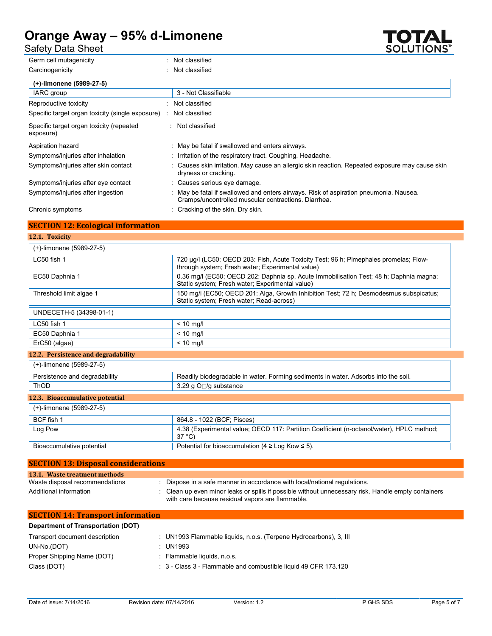Safety Data Sheet

| Germ cell mutagenicity                                | Not classified                                                                                                                                |
|-------------------------------------------------------|-----------------------------------------------------------------------------------------------------------------------------------------------|
| Carcinogenicity                                       | Not classified                                                                                                                                |
| (+)-limonene (5989-27-5)                              |                                                                                                                                               |
| IARC group                                            | 3 - Not Classifiable                                                                                                                          |
| Reproductive toxicity                                 | Not classified                                                                                                                                |
| Specific target organ toxicity (single exposure)      | Not classified                                                                                                                                |
| Specific target organ toxicity (repeated<br>exposure) | : Not classified                                                                                                                              |
| Aspiration hazard                                     | : May be fatal if swallowed and enters airways.                                                                                               |
| Symptoms/injuries after inhalation                    | : Irritation of the respiratory tract. Coughing. Headache.                                                                                    |
| Symptoms/injuries after skin contact                  | : Causes skin irritation. May cause an allergic skin reaction. Repeated exposure may cause skin<br>dryness or cracking.                       |
| Symptoms/injuries after eye contact                   | : Causes serious eye damage.                                                                                                                  |
| Symptoms/injuries after ingestion                     | : May be fatal if swallowed and enters airways. Risk of aspiration pneumonia. Nausea.<br>Cramps/uncontrolled muscular contractions. Diarrhea. |
| Chronic symptoms                                      | : Cracking of the skin. Dry skin.                                                                                                             |

# **SECTION 12: Ecological information**

**12.1. Toxicity** (+)-limonene (5989-27-5) LC50 fish 1 **1** 720 μg/l (LC50; OECD 203: Fish, Acute Toxicity Test; 96 h; Pimephales promelas; Flowthrough system; Fresh water; Experimental value) EC50 Daphnia 1 0.36 mg/l (EC50; OECD 202: Daphnia sp. Acute Immobilisation Test; 48 h; Daphnia magna; Static system; Fresh water; Experimental value) Threshold limit algae 1 150 mg/l (EC50; OECD 201: Alga, Growth Inhibition Test; 72 h; Desmodesmus subspicatus; Static system; Fresh water; Read-across) UNDECETH-5 (34398-01-1)  $LC50$  fish 1  $\leq 10$  mg/l EC50 Daphnia 1 and 1 and 2 and 1 and 2 and 1 and 1 and 1 and 1 and 1 and 1 and 1 and 1 and 1 and 1 and 1 and 1 and 1 and 1 and 1 and 1 and 1 and 1 and 1 and 1 and 1 and 1 and 1 and 1 and 1 and 1 and 1 and 1 and 1 and 1 and ErC50 (algae) < 10 mg/l **12.2. Persistence and degradability** (+)-limonene (5989-27-5) Persistence and degradability **Readily biodegradable in water.** Forming sediments in water. Adsorbs into the soil. ThOD  $3.29 \text{ g O}$  /g substance **12.3. Bioaccumulative potential** (+)-limonene (5989-27-5) BCF fish 1 864.8 - 1022 (BCF; Pisces) Log Pow **4.38 (Experimental value; OECD 117: Partition Coefficient (n-octanol/water), HPLC method;** 37 °C) Bioaccumulative potential Potential Potential For bioaccumulation (4  $\geq$  Log Kow  $\leq$  5). **SECTION 13: Disposal considerations**

| <b>SECTION 13: DISPOSAL CONSIDERATIONS</b> |                                                                                                                                                       |
|--------------------------------------------|-------------------------------------------------------------------------------------------------------------------------------------------------------|
| 13.1. Waste treatment methods              |                                                                                                                                                       |
| Waste disposal recommendations             | Dispose in a safe manner in accordance with local/national regulations.                                                                               |
| Additional information                     | Clean up even minor leaks or spills if possible without unnecessary risk. Handle empty containers<br>with care because residual vapors are flammable. |

| <b>SECTION 14: Transport information</b> |                                                                   |
|------------------------------------------|-------------------------------------------------------------------|
| Department of Transportation (DOT)       |                                                                   |
| Transport document description           | : UN1993 Flammable liquids, n.o.s. (Terpene Hydrocarbons), 3, III |
| UN-No.(DOT)                              | : UN1993                                                          |
| Proper Shipping Name (DOT)               | : Flammable liquids, n.o.s.                                       |
| Class (DOT)                              | : 3 - Class 3 - Flammable and combustible liquid 49 CFR 173.120   |

**SOLUTIONS**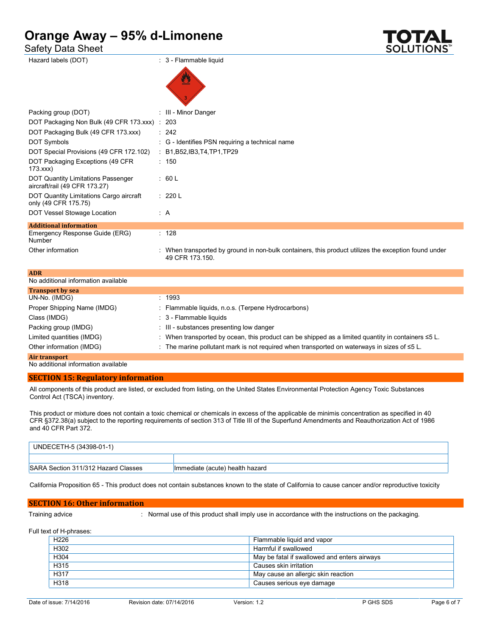Safety Data Sheet

| П                             |  |
|-------------------------------|--|
| <b>SOLUTIONS</b> <sup>*</sup> |  |

| Hazard labels (DOT)                                                        | : 3 - Flammable liquid                                                                                                  |
|----------------------------------------------------------------------------|-------------------------------------------------------------------------------------------------------------------------|
|                                                                            |                                                                                                                         |
| Packing group (DOT)                                                        | : III - Minor Danger                                                                                                    |
| DOT Packaging Non Bulk (49 CFR 173.xxx) : 203                              |                                                                                                                         |
| DOT Packaging Bulk (49 CFR 173.xxx)                                        | : 242                                                                                                                   |
| DOT Symbols                                                                | : G - Identifies PSN requiring a technical name                                                                         |
| DOT Special Provisions (49 CFR 172.102)                                    | : $B1, B52, IB3, T4, TP1, TP29$                                                                                         |
| DOT Packaging Exceptions (49 CFR)<br>173.xxx                               | : 150                                                                                                                   |
| <b>DOT Quantity Limitations Passenger</b><br>aircraft/rail (49 CFR 173.27) | : 60 L                                                                                                                  |
| DOT Quantity Limitations Cargo aircraft<br>only (49 CFR 175.75)            | : 220 L                                                                                                                 |
| DOT Vessel Stowage Location                                                | : A                                                                                                                     |
| <b>Additional information</b>                                              |                                                                                                                         |
| Emergency Response Guide (ERG)<br>Number                                   | : 128                                                                                                                   |
| Other information                                                          | : When transported by ground in non-bulk containers, this product utilizes the exception found under<br>49 CFR 173.150. |
| <b>ADR</b>                                                                 |                                                                                                                         |

| ADR                                 |                                                                                                          |
|-------------------------------------|----------------------------------------------------------------------------------------------------------|
| No additional information available |                                                                                                          |
| <b>Transport by sea</b>             |                                                                                                          |
| UN-No. (IMDG)                       | : 1993                                                                                                   |
| Proper Shipping Name (IMDG)         | : Flammable liquids, n.o.s. (Terpene Hydrocarbons)                                                       |
| Class (IMDG)                        | $\therefore$ 3 - Flammable liquids                                                                       |
| Packing group (IMDG)                | : III - substances presenting low danger                                                                 |
| Limited quantities (IMDG)           | : When transported by ocean, this product can be shipped as a limited quantity in containers $\leq 5$ L. |
| Other information (IMDG)            | : The marine pollutant mark is not required when transported on waterways in sizes of $\leq 5$ L.        |
| Air transport                       |                                                                                                          |
|                                     |                                                                                                          |

No additional information available

# **SECTION 15: Regulatory information**

All components of this product are listed, or excluded from listing, on the United States Environmental Protection Agency Toxic Substances Control Act (TSCA) inventory.

This product or mixture does not contain a toxic chemical or chemicals in excess of the applicable de minimis concentration as specified in 40 CFR §372.38(a) subject to the reporting requirements of section 313 of Title III of the Superfund Amendments and Reauthorization Act of 1986 and 40 CFR Part 372.

| UNDECETH-5 (34398-01-1)             |                                 |
|-------------------------------------|---------------------------------|
|                                     |                                 |
| SARA Section 311/312 Hazard Classes | Immediate (acute) health hazard |

California Proposition 65 - This product does not contain substances known to the state of California to cause cancer and/or reproductive toxicity

# **SECTION 16: Other information**

Training advice : Normal use of this product shall imply use in accordance with the instructions on the packaging.

Full text of H-phrases:

| H <sub>226</sub> | Flammable liquid and vapor                   |
|------------------|----------------------------------------------|
| H302             | Harmful if swallowed                         |
| H304             | May be fatal if swallowed and enters airways |
| H315             | Causes skin irritation                       |
| H317             | May cause an allergic skin reaction          |
| H318             | Causes serious eye damage                    |